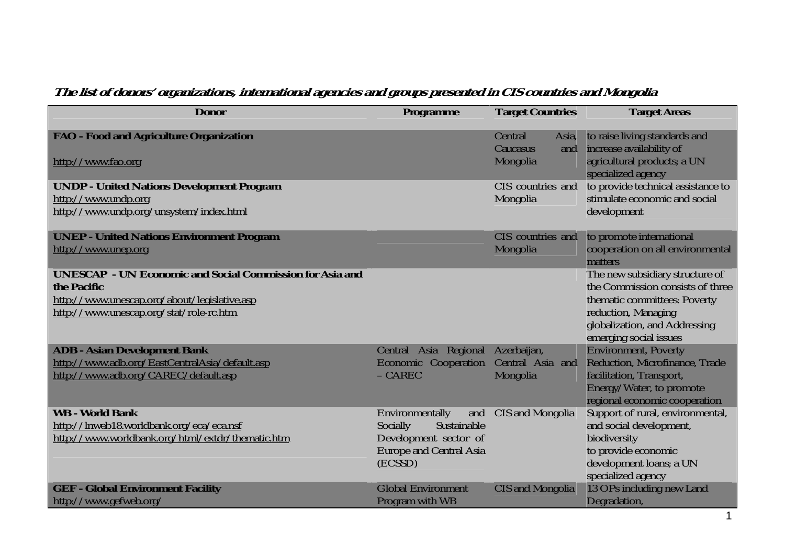## **The list of donors' organizations, international agencies and groups presented in CIS countries and Mongolia**

| <b>Donor</b>                                                                                                                                                              | Programme                                                                                                               | <b>Target Countries</b>                                              | <b>Target Areas</b>                                                                                                                                                                   |
|---------------------------------------------------------------------------------------------------------------------------------------------------------------------------|-------------------------------------------------------------------------------------------------------------------------|----------------------------------------------------------------------|---------------------------------------------------------------------------------------------------------------------------------------------------------------------------------------|
| <b>FAO</b> - Food and Agriculture Organization<br>http://www.fao.org<br><b>UNDP - United Nations Development Program</b>                                                  |                                                                                                                         | Central<br>Asia,<br>Caucasus<br>and<br>Mongolia<br>CIS countries and | to raise living standards and<br>increase availability of<br>agricultural products; a UN<br>specialized agency<br>to provide technical assistance to                                  |
| http://www.undp.org<br>http://www.undp.org/unsystem/index.html                                                                                                            |                                                                                                                         | Mongolia                                                             | stimulate economic and social<br>development                                                                                                                                          |
| <b>UNEP - United Nations Environment Program</b><br>http://www.unep.org                                                                                                   |                                                                                                                         | CIS countries and<br>Mongolia                                        | to promote international<br>cooperation on all environmental<br>matters                                                                                                               |
| <b>UNESCAP</b> - UN Economic and Social Commission for Asia and<br>the Pacific<br>http://www.unescap.org/about/legislative.asp<br>http://www.unescap.org/stat/role-rc.htm |                                                                                                                         |                                                                      | The new subsidiary structure of<br>the Commission consists of three<br>thematic committees: Poverty<br>reduction, Managing<br>globalization, and Addressing<br>emerging social issues |
| <b>ADB - Asian Development Bank</b><br>http://www.adb.org/EastCentralAsia/default.asp<br>http://www.adb.org/CAREC/default.asp                                             | Central Asia Regional<br><b>Economic Cooperation</b><br>$-CAREC$                                                        | Azerbaijan,<br>Central Asia and<br>Mongolia                          | <b>Environment, Poverty</b><br>Reduction, Microfinance, Trade<br>facilitation, Transport,<br>Energy/Water, to promote<br>regional economic cooperation                                |
| <b>WB - World Bank</b><br>http://lnweb18.worldbank.org/eca/eca.nsf<br>http://www.worldbank.org/html/extdr/thematic.htm                                                    | Environmentally<br>and<br>Socially<br>Sustainable<br>Development sector of<br><b>Europe and Central Asia</b><br>(ECSSD) | CIS and Mongolia                                                     | Support of rural, environmental,<br>and social development,<br>biodiversity<br>to provide economic<br>development loans; a UN<br>specialized agency                                   |
| <b>GEF - Global Environment Facility</b><br>http://www.gefweb.org/                                                                                                        | <b>Global Environment</b><br>Program with WB                                                                            | <b>CIS and Mongolia</b>                                              | 13 OPs including new Land<br>Degradation,                                                                                                                                             |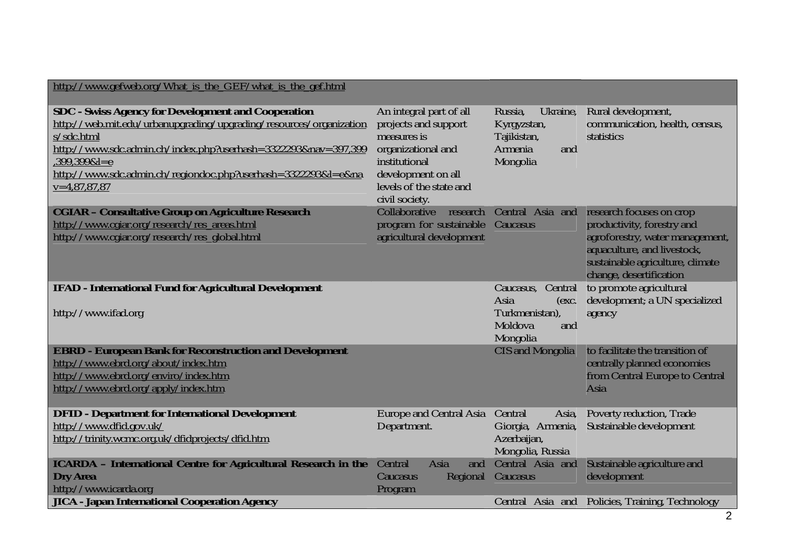| http://www.gefweb.org/What is the GEF/what is the gef.html                                                                                                                                                                                                                                                        |                                                                                                                                                                          |                                                                                                           |                                                                                                                                                                                         |
|-------------------------------------------------------------------------------------------------------------------------------------------------------------------------------------------------------------------------------------------------------------------------------------------------------------------|--------------------------------------------------------------------------------------------------------------------------------------------------------------------------|-----------------------------------------------------------------------------------------------------------|-----------------------------------------------------------------------------------------------------------------------------------------------------------------------------------------|
| <b>SDC</b> - Swiss Agency for Development and Cooperation<br>http://web.mit.edu/urbanupgrading/upgrading/resources/organization<br>s/sdc.html<br>http://www.sdc.admin.ch/index.php?userhash=3322293&nav=397,399<br>399,399&l=e<br>http://www.sdc.admin.ch/regiondoc.php?userhash=3322293&l=e&na<br>$v=4,87,87,87$ | An integral part of all<br>projects and support<br>measures is<br>organizational and<br>institutional<br>development on all<br>levels of the state and<br>civil society. | Russia,<br>Ukraine,<br>Kyrgyzstan,<br>Tajikistan,<br>Armenia<br>and<br>Mongolia                           | Rural development,<br>communication, health, census,<br>statistics                                                                                                                      |
| <b>CGIAR - Consultative Group on Agriculture Research</b><br>http://www.cgiar.org/research/res_areas.html<br>http://www.cgiar.org/research/res_global.html                                                                                                                                                        | Collaborative<br>research<br>program for sustainable<br>agricultural development                                                                                         | Central Asia and<br>Caucasus                                                                              | research focuses on crop<br>productivity, forestry and<br>agroforestry, water management,<br>aquaculture, and livestock,<br>sustainable agriculture, climate<br>change, desertification |
| <b>IFAD - International Fund for Agricultural Development</b><br>http://www.ifad.org                                                                                                                                                                                                                              |                                                                                                                                                                          | Central<br>Caucasus,<br>Asia<br>$\left(\text{exc}\right)$<br>Turkmenistan),<br>Moldova<br>and<br>Mongolia | to promote agricultural<br>development; a UN specialized<br>agency                                                                                                                      |
| <b>EBRD - European Bank for Reconstruction and Development</b><br>http://www.ebrd.org/about/index.htm<br>http://www.ebrd.org/enviro/index.htm<br>http://www.ebrd.org/apply/index.htm                                                                                                                              |                                                                                                                                                                          | <b>CIS</b> and Mongolia                                                                                   | to facilitate the transition of<br>centrally planned economies<br>from Central Europe to Central<br>Asia                                                                                |
| <b>DFID - Department for International Development</b><br>http://www.dfid.gov.uk/<br>http://trinity.wcmc.org.uk/dfidprojects/dfid.htm                                                                                                                                                                             | Europe and Central Asia<br>Department.                                                                                                                                   | Central<br>Asia,<br>Giorgia, Armenia,<br>Azerbaijan,<br>Mongolia, Russia                                  | Poverty reduction, Trade<br>Sustainable development                                                                                                                                     |
| <b>ICARDA</b> - International Centre for Agricultural Research in the<br><b>Dry Area</b><br>http://www.icarda.org<br><b>JICA - Japan International Cooperation Agency</b>                                                                                                                                         | Asia<br>Central<br>and<br>Regional<br>Caucasus<br>Program                                                                                                                | Central Asia and<br>Caucasus                                                                              | Sustainable agriculture and<br>development<br>Central Asia and Policies, Training, Technology                                                                                           |
|                                                                                                                                                                                                                                                                                                                   |                                                                                                                                                                          |                                                                                                           |                                                                                                                                                                                         |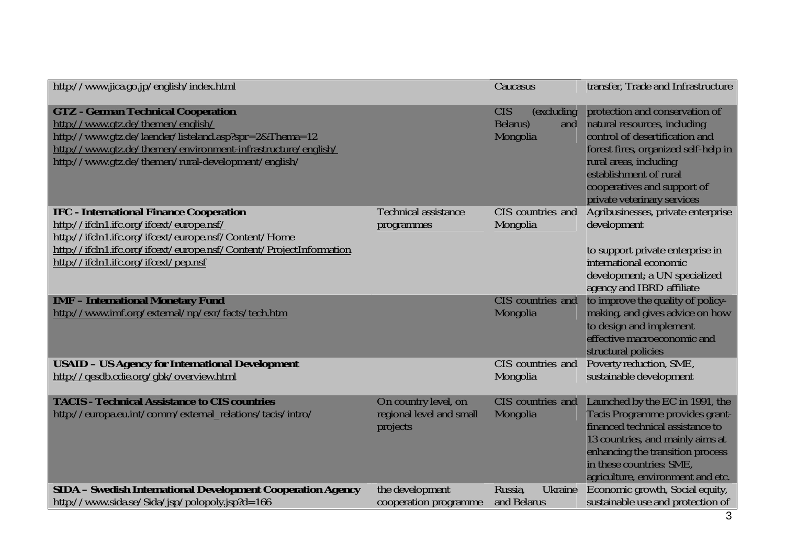| http://www.jica.go.jp/english/index.html                                                                                                                                                                                                                        |                                                              | Caucasus                                                 | transfer, Trade and Infrastructure                                                                                                                                                                                                                         |
|-----------------------------------------------------------------------------------------------------------------------------------------------------------------------------------------------------------------------------------------------------------------|--------------------------------------------------------------|----------------------------------------------------------|------------------------------------------------------------------------------------------------------------------------------------------------------------------------------------------------------------------------------------------------------------|
| <b>GTZ - German Technical Cooperation</b><br>http://www.gtz.de/themen/english/<br>http://www.gtz.de/laender/listeland.asp?spr=2&Thema=12<br>http://www.gtz.de/themen/environment-infrastructure/english/<br>http://www.gtz.de/themen/rural-development/english/ |                                                              | <b>CIS</b><br>(excluding)<br>Belarus)<br>and<br>Mongolia | protection and conservation of<br>natural resources, including<br>control of desertification and<br>forest fires, organized self-help in<br>rural areas, including<br>establishment of rural<br>cooperatives and support of<br>private veterinary services |
| <b>IFC - International Finance Cooperation</b><br>http://ifcln1.ifc.org/ifcext/europe.nsf/                                                                                                                                                                      | Technical assistance<br>programmes                           | CIS countries and<br>Mongolia                            | Agribusinesses, private enterprise<br>development                                                                                                                                                                                                          |
| http://ifcln1.ifc.org/ifcext/europe.nsf/Content/Home<br>http://ifcln1.ifc.org/ifcext/europe.nsf/Content/ProjectInformation<br>http://ifcln1.ifc.org/ifcext/pep.nsf                                                                                              |                                                              |                                                          | to support private enterprise in<br>international economic<br>development; a UN specialized<br>agency and IBRD affiliate                                                                                                                                   |
| <b>IMF - International Monetary Fund</b><br>http://www.imf.org/external/np/exr/facts/tech.htm                                                                                                                                                                   |                                                              | CIS countries and<br>Mongolia                            | to improve the quality of policy-<br>making, and gives advice on how<br>to design and implement<br>effective macroeconomic and<br>structural policies                                                                                                      |
| <b>USAID - US Agency for International Development</b><br>http://qesdb.cdie.org/gbk/overview.html                                                                                                                                                               |                                                              | CIS countries and<br>Mongolia                            | Poverty reduction, SME,<br>sustainable development                                                                                                                                                                                                         |
| <b>TACIS - Technical Assistance to CIS countries</b><br>http://europa.eu.int/comm/external_relations/tacis/intro/                                                                                                                                               | On country level, on<br>regional level and small<br>projects | CIS countries and<br>Mongolia                            | Launched by the EC in 1991, the<br>Tacis Programme provides grant-<br>financed technical assistance to<br>13 countries, and mainly aims at<br>enhancing the transition process<br>in these countries: SME,<br>agriculture, environment and etc.            |
| SIDA - Swedish International Development Cooperation Agency                                                                                                                                                                                                     | the development                                              | Ukraine<br>Russia,                                       | Economic growth, Social equity,                                                                                                                                                                                                                            |
| http://www.sida.se/Sida/jsp/polopoly.jsp?d=166                                                                                                                                                                                                                  | cooperation programme                                        | and Belarus                                              | sustainable use and protection of                                                                                                                                                                                                                          |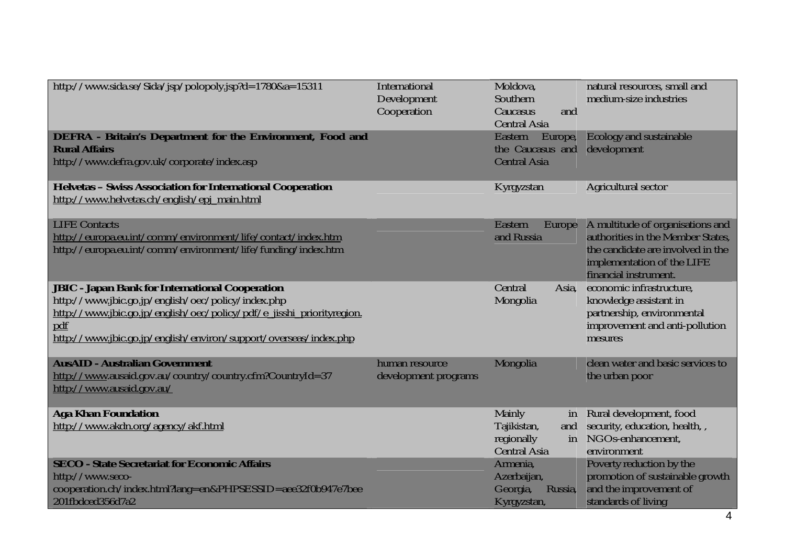| http://www.sida.se/Sida/jsp/polopoly.jsp?d=1780&a=15311                                                                                                                                                                                                          | International<br>Development<br>Cooperation | Moldova,<br>Southern<br>Caucasus<br>and<br><b>Central Asia</b>          | natural resources, small and<br>medium-size industries                                                                                                            |
|------------------------------------------------------------------------------------------------------------------------------------------------------------------------------------------------------------------------------------------------------------------|---------------------------------------------|-------------------------------------------------------------------------|-------------------------------------------------------------------------------------------------------------------------------------------------------------------|
| <b>DEFRA</b> - Britain's Department for the Environment, Food and<br><b>Rural Affairs</b><br>http://www.defra.gov.uk/corporate/index.asp                                                                                                                         |                                             | Eastern<br>Europe,<br>the Caucasus and<br><b>Central Asia</b>           | Ecology and sustainable<br>development                                                                                                                            |
| Helvetas - Swiss Association for International Cooperation<br>http://www.helvetas.ch/english/epj_main.html                                                                                                                                                       |                                             | Kyrgyzstan                                                              | Agricultural sector                                                                                                                                               |
| <b>LIFE Contacts</b><br>http://europa.eu.int/comm/environment/life/contact/index.htm<br>http://europa.eu.int/comm/environment/life/funding/index.htm                                                                                                             |                                             | Eastern<br>Europe<br>and Russia                                         | A multitude of organisations and<br>authorities in the Member States,<br>the candidate are involved in the<br>implementation of the LIFE<br>financial instrument. |
| <b>JBIC - Japan Bank for International Cooperation</b><br>http://www.jbic.go.jp/english/oec/policy/index.php<br>http://www.jbic.go.jp/english/oec/policy/pdf/e jisshi priorityregion.<br>pdf<br>http://www.jbic.go.jp/english/environ/support/overseas/index.php |                                             | Central<br>Asia,<br>Mongolia                                            | economic infrastructure,<br>knowledge assistant in<br>partnership, environmental<br>improvement and anti-pollution<br>mesures                                     |
| <b>AusAID - Australian Government</b><br>http://www.ausaid.gov.au/country/country.cfm?CountryId=37<br>http://www.ausaid.gov.au/                                                                                                                                  | human resource<br>development programs      | Mongolia                                                                | clean water and basic services to<br>the urban poor                                                                                                               |
| <b>Aga Khan Foundation</b><br>http://www.akdn.org/agency/akf.html                                                                                                                                                                                                |                                             | Mainly<br>in<br>Tajikistan,<br>and<br>regionally<br><b>Central Asia</b> | Rural development, food<br>security, education, health, ,<br>in NGOs-enhancement,<br>environment                                                                  |
| <b>SECO - State Secretariat for Economic Affairs</b><br>http://www.seco-<br>cooperation.ch/index.html?lang=en&PHPSESSID=aee32f0b947e7bee<br>201fbdced356d7a2                                                                                                     |                                             | Armenia,<br>Azerbaijan,<br>Georgia,<br>Russia,<br>Kyrgyzstan,           | Poverty reduction by the<br>promotion of sustainable growth<br>and the improvement of<br>standards of living                                                      |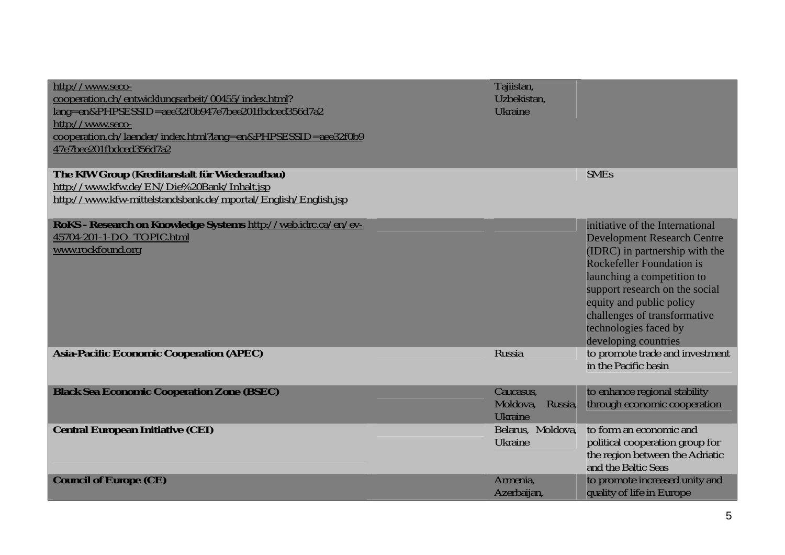| http://www.seco-<br>cooperation.ch/entwicklungsarbeit/00455/index.html?<br>lang=en&PHPSESSID=aee32f0b947e7bee201fbdced356d7a2<br>http://www.seco-<br>cooperation.ch/laender/index.html?lang=en&PHPSESSID=aee32f0b9<br>47e7bee201fbdced356d7a2 | Tajiistan,<br>Uzbekistan,<br><b>Ukraine</b>        |                                                                                                                                                                                                                                                                                                                          |
|-----------------------------------------------------------------------------------------------------------------------------------------------------------------------------------------------------------------------------------------------|----------------------------------------------------|--------------------------------------------------------------------------------------------------------------------------------------------------------------------------------------------------------------------------------------------------------------------------------------------------------------------------|
| The KfW Group (Kreditanstalt für Wiederaufbau)<br>http://www.kfw.de/EN/Die%20Bank/Inhalt.jsp<br>http://www.kfw-mittelstandsbank.de/mportal/English/English.jsp                                                                                |                                                    | <b>SMEs</b>                                                                                                                                                                                                                                                                                                              |
| RoKS - Research on Knowledge Systems http://web.idrc.ca/en/ev-<br>45704-201-1-DO TOPIC.html<br>www.rockfound.org                                                                                                                              |                                                    | initiative of the International<br><b>Development Research Centre</b><br>(IDRC) in partnership with the<br><b>Rockefeller Foundation is</b><br>launching a competition to<br>support research on the social<br>equity and public policy<br>challenges of transformative<br>technologies faced by<br>developing countries |
| <b>Asia-Pacific Economic Cooperation (APEC)</b>                                                                                                                                                                                               | Russia                                             | to promote trade and investment<br>in the Pacific basin                                                                                                                                                                                                                                                                  |
| <b>Black Sea Economic Cooperation Zone (BSEC)</b>                                                                                                                                                                                             | Caucasus,<br>Moldova,<br>Russia,<br><b>Ukraine</b> | to enhance regional stability<br>through economic cooperation                                                                                                                                                                                                                                                            |
| <b>Central European Initiative (CEI)</b>                                                                                                                                                                                                      | Belarus, Moldova,<br><b>Ukraine</b>                | to form an economic and<br>political cooperation group for<br>the region between the Adriatic<br>and the Baltic Seas                                                                                                                                                                                                     |
| <b>Council of Europe (CE)</b>                                                                                                                                                                                                                 | Armenia.<br>Azerbaijan,                            | to promote increased unity and<br>quality of life in Europe                                                                                                                                                                                                                                                              |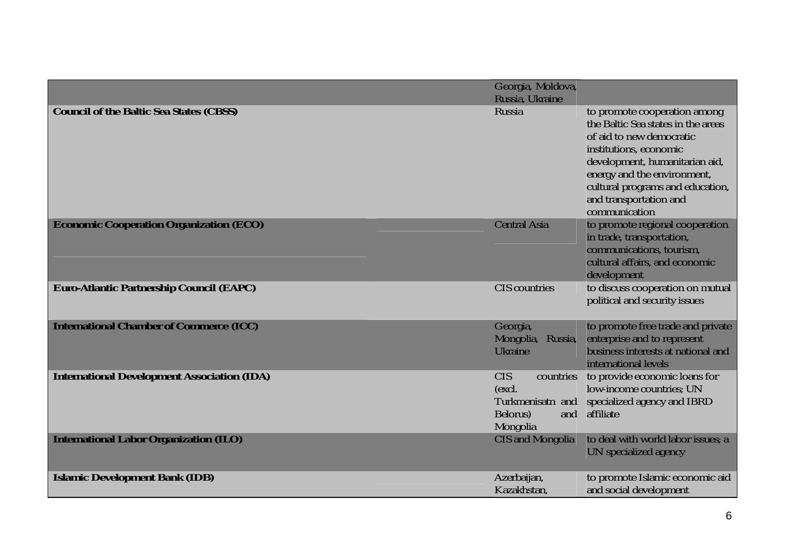|                                                    | Georgia, Moldova,<br>Russia, Ukraine                                                 |                                                                                                                                                                                                                                                                          |
|----------------------------------------------------|--------------------------------------------------------------------------------------|--------------------------------------------------------------------------------------------------------------------------------------------------------------------------------------------------------------------------------------------------------------------------|
| <b>Council of the Baltic Sea States (CBSS)</b>     | Russia                                                                               | to promote cooperation among<br>the Baltic Sea states in the areas<br>of aid to new democratic<br>institutions, economic<br>development, humanitarian aid,<br>energy and the environment,<br>cultural programs and education,<br>and transportation and<br>communication |
| <b>Economic Cooperation Organization (ECO)</b>     | <b>Central Asia</b>                                                                  | to promote regional cooperation<br>in trade, transportation,<br>communications, tourism,<br>cultural affairs, and economic<br>development                                                                                                                                |
| <b>Euro-Atlantic Partnership Council (EAPC)</b>    | <b>CIS</b> countries                                                                 | to discuss cooperation on mutual<br>political and security issues                                                                                                                                                                                                        |
| <b>International Chamber of Commerce (ICC)</b>     | Georgia,<br>Mongolia, Russia,<br>Ukraine                                             | to promote free trade and private<br>enterprise and to represent<br>business interests at national and<br>international levels                                                                                                                                           |
| <b>International Development Association (IDA)</b> | <b>CIS</b><br>countries<br>(excl.<br>Turkmenisatn and<br>and<br>Belorus)<br>Mongolia | to provide economic loans for<br>low-income countries: UN<br>specialized agency and IBRD<br>affiliate                                                                                                                                                                    |
| <b>International Labor Organization (ILO)</b>      | <b>CIS</b> and Mongolia                                                              | to deal with world labor issues; a<br>UN specialized agency                                                                                                                                                                                                              |
| <b>Islamic Development Bank (IDB)</b>              | Azerbaijan,<br>Kazakhstan,                                                           | to promote Islamic economic aid<br>and social development                                                                                                                                                                                                                |